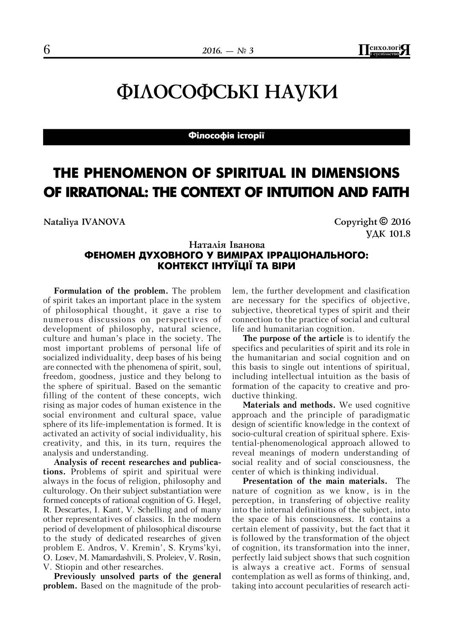$2016. - N$  $\approx$  3<br>**I**  $\frac{\text{C}^{2}}{\text{C}^{2}}$ 

# ФІЛОСОФСЬКІ НАУКИ

### **Філософія історії**

# **THE PHENOMENON OF SPIRITUAL IN DIMENSIONS OF IRRATIONAL: THE CONTEXT OF INTUITION AND FAITH**

**Nataliya IVANOVA Copyright © 2016**

УДК 101.8

## Наталія Іванова **ФЕНОМЕН ДУХОВНОГО У ВИМІРАХ ІРРАЦІОНАЛЬНОГО: КОНТЕКСТ ІНТУЇЦІЇ ТА ВІРИ**

**Formulation of the problem.** The problem of spirit takes an important place in the system of philosophical thought, it gave a rise to numerous discussions on perspectives of development of philosophy, natural science, culture and human's place in the society. The most important problems of personal life of socialized individuality, deep bases of his being are connected with the phenomena of spirit, soul, freedom, goodness, justice and they belong to the sphere of spiritual. Based on the semantic filling of the content of these concepts, wich rising as major codes of human existence in the social environment and cultural space, value sphere of its life-implementation is formed. It is activated an activity of social individuality, his creativity, and this, in its turn, requires the analysis and understanding.

**Analysis of recent researches and publications.** Problems of spirit and spiritual were always in the focus of religion, philosophy and culturology. On their subject substantiation were formed concepts of rational cognition of G. Hegel, R. Descartes, I. Kant, V. Schelling and of many other representatives of classics. In the modern period of development of philosophical discourse to the study of dedicated researches of given problem E. Andros, V. Kremin', S. Kryms'kyi, O. Losev, M. Mamardashvili, S. Proleiev, V. Rosin, V. Stiopin and other researches.

**Previously unsolved parts of the general problem.** Based on the magnitude of the prob-

lem, the further development and clasification are necessary for the specifics of objective, subjective, theoretical types of spirit and their connection to the practice of social and cultural life and humanitarian cognition.

**The purpose of the article** is to identify the specifics and pecularities of spirit and its role in the humanitarian and social cognition and on this basis to single out intentions of spiritual, including intellectual intuition as the basis of formation of the capacity to creative and productive thinking.

**Materials and methods.** We used cognitive approach and the principle of paradigmatic design of scientific knowledge in the context of socio-cultural creation of spiritual sphere. Existential-phenomenological approach allowed to reveal meanings of modern understanding of social reality and of social consciousness, the center of which is thinking individual.

**Presentation of the main materials.** The nature of cognition as we know, is in the perception, in transfering of objective reality into the internal definitions of the subject, into the space of his consciousness. It contains a certain element of passivity, but the fact that it is followed by the transformation of the object of cognition, its transformation into the inner, perfectly laid subject shows that such cognition is always a creative act. Forms of sensual contemplation as well as forms of thinking, and, taking into account pecularities of research acti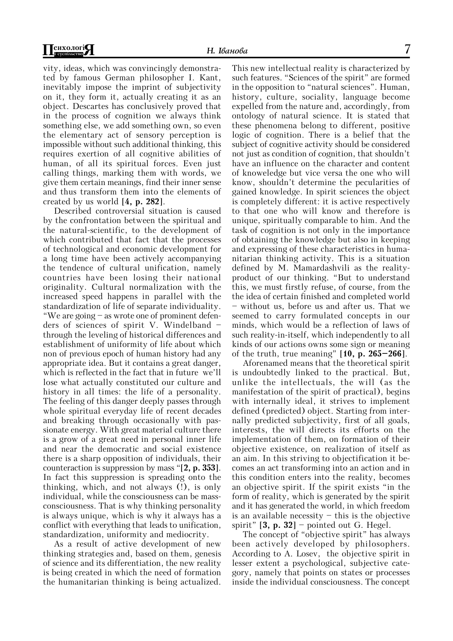vity, ideas, which was convincingly demonstrated by famous German philosopher I. Kant, inevitably impose the imprint of subjectivity on it, they form it, actually creating it as an object. Descartes has conclusively proved that in the process of cognition we always think something else, we add something own, so even the elementary act of sensory perception is impossible without such additional thinking, this requires exertion of all cognitive abilities of human, of all its spiritual forces. Even just calling things, marking them with words, we give them certain meanings, find their inner sense and thus transform them into the elements of created by us world [**4, p. 282**].

Described controversial situation is caused by the confrontation between the spiritual and the natural-scientific, to the development of which contributed that fact that the processes of technological and economic development for a long time have been actively accompanying the tendence of cultural unification, namely countries have been losing their national originality. Cultural normalization with the increased speed happens in parallel with the standardization of life of separate individuality. "We are going – as wrote one of prominent defenders of sciences of spirit V. Windelband – through the leveling of historical differences and establishment of uniformity of life about which non of previous epoch of human history had any appropriate idea. But it contains a great danger, which is reflected in the fact that in future we'll lose what actually constituted our culture and history in all times: the life of a personality. The feeling of this danger deeply passes through whole spiritual everyday life of recent decades and breaking through occasionally with passionate energy. With great material culture there is a grow of a great need in personal inner life and near the democratic and social existence there is a sharp opposition of individuals, their counteraction is suppression by mass "[**2, p. 353**]. In fact this suppression is spreading onto the thinking, which, and not always (!), is only individual, while the consciousness can be massconsciousness. That is why thinking personality is always unique, which is why it always has a conflict with everything that leads to unification, standardization, uniformity and mediocrity.

As a result of active development of new thinking strategies and, based on them, genesis of science and its differentiation, the new reality is being created in which the need of formation the humanitarian thinking is being actualized.

This new intellectual reality is characterized by such features. "Sciences of the spirit" are formed in the opposition to "natural sciences". Human, history, culture, sociality, language become expelled from the nature and, accordingly, from ontology of natural science. It is stated that these phenomena belong to different, positive logic of cognition. There is a belief that the subject of cognitive activity should be considered not just as condition of cognition, that shouldn't have an influence on the character and content of knoweledge but vice versa the one who will know, shouldn't determine the pecularities of gained knowledge. In spirit sciences the object is completely different: it is active respectively to that one who will know and therefore is unique, spiritually comparable to him. And the task of cognition is not only in the importance of obtaining the knowledge but also in keeping and expressing of these characteristics in humanitarian thinking activity. This is a situation defined by M. Mamardashvili as the realityproduct of our thinking. "But to understand this, we must firstly refuse, of course, from the the idea of certain finished and completed world – without us, before us and after us. That we seemed to carry formulated concepts in our minds, which would be a reflection of laws of such reality-in-itself, which independently to all kinds of our actions owns some sign or meaning of the truth, true meaning" [**10, p. 265–266**].

Aforenamed means that the theoretical spirit is undoubtedly linked to the practical. But, unlike the intellectuals, the will (as the manifestation of the spirit of practical), begins with internally ideal, it strives to implement defined (predicted) object. Starting from internally predicted subjectivity, first of all goals, interests, the will directs its efforts on the implementation of them, on formation of their objective existence, on realization of itself as an aim. In this striving to objectification it becomes an act transforming into an action and in this condition enters into the reality, becomes an objective spirit. If the spirit exists "in the form of reality, which is generated by the spirit and it has generated the world, in which freedom is an available necessity  $-$  this is the objective spirit" [**3, p. 32**] – pointed out G. Hegel.

The concept of "objective spirit" has always been actively developed by philosophers. According to A. Losev, the objective spirit in lesser extent a psychological, subjective category, namely that points on states or processes inside the individual consciousness. The concept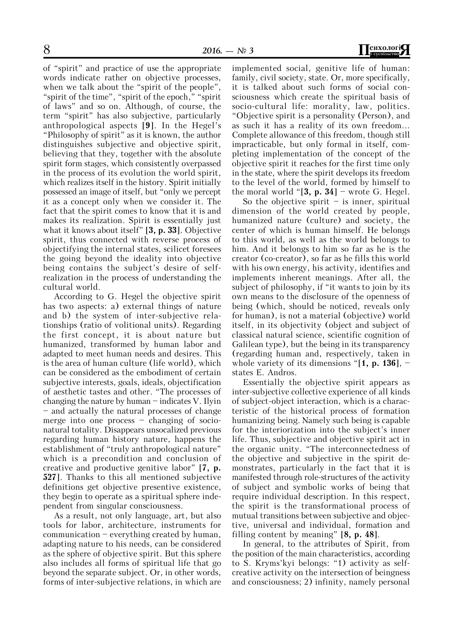of "spirit" and practice of use the appropriate words indicate rather on objective processes, when we talk about the "spirit of the people", "spirit of the time", "spirit of the epoch," "spirit of laws" and so on. Although, of course, the term "spirit" has also subjective, particularly anthropological aspects [**9**]. In the Hegel's "Philosophy of spirit" as it is known, the author distinguishes subjective and objective spirit, believing that they, together with the absolute spirit form stages, which consistently overpassed in the process of its evolution the world spirit, which realizes itself in the history. Spirit initially possessed an image of itself, but "only we percept it as a concept only when we consider it. The fact that the spirit comes to know that it is and makes its realization. Spirit is essentially just what it knows about itself" [**3, p. 33**]. Objective spirit, thus connected with reverse process of objectifying the internal states, scilicet foresees the going beyond the ideality into objective being contains the subject's desire of selfrealization in the process of understanding the cultural world.

According to G. Hegel the objective spirit has two aspects: a) external things of nature and b) the system of inter-subjective relationships (ratio of volitional units). Regarding the first concept, it is about nature but humanized, transformed by human labor and adapted to meet human needs and desires. This is the area of human culture (life world), which can be considered as the embodiment of certain subjective interests, goals, ideals, objectification of aesthetic tastes and other. "The processes of changing the nature by human – indicates V. Ilyin – and actually the natural processes of change merge into one process – changing of socionatural totality. Disappears unsocalized previous regarding human history nature, happens the establishment of "truly anthropological nature" which is a precondition and conclusion of creative and productive genitive labor" [**7, p. 527**]. Thanks to this all mentioned subjective definitions get objective presentive existence, they begin to operate as a spiritual sphere independent from singular consciousness.

As a result, not only language, art, but also tools for labor, architecture, instruments for communication – everything created by human, adapting nature to his needs, can be considered as the sphere of objective spirit. But this sphere also includes all forms of spiritual life that go beyond the separate subject. Or, in other words, forms of inter-subjective relations, in which are

implemented social, genitive life of human: family, civil society, state. Or, more specifically, it is talked about such forms of social consciousness which create the spiritual basis of socio-cultural life: morality, law, politics. "Objective spirit is a personality (Person), and as such it has a reality of its own freedom... Complete allowance of this freedom, though still impracticable, but only formal in itself, completing implementation of the concept of the objective spirit it reaches for the first time only in the state, where the spirit develops its freedom to the level of the world, formed by himself to the moral world "[**3, p. 34**] – wrote G. Hegel.

So the objective spirit  $-$  is inner, spiritual dimension of the world created by people, humanized nature (culture) and society, the center of which is human himself. He belongs to this world, as well as the world belongs to him. And it belongs to him so far as he is the creator (co-creator), so far as he fills this world with his own energy, his activity, identifies and implements inherent meanings. After all, the subject of philosophy, if "it wants to join by its own means to the disclosure of the openness of being (which, should be noticed, reveals only for human), is not a material (objective) world itself, in its objectivity (object and subject of classical natural science, scientific cognition of Galilean type), but the being in its transparency (regarding human and, respectively, taken in whole variety of its dimensions "[**1, p. 136**], – states E. Andros.

Essentially the objective spirit appears as inter-subjective collective experience of all kinds of subject-object interaction, which is a characteristic of the historical process of formation humanizing being. Namely such being is capable for the interiorization into the subject's inner life. Thus, subjective and objective spirit act in the organic unity. "The interconnectedness of the objective and subjective in the spirit demonstrates, particularly in the fact that it is manifested through role-structures of the activity of subject and symbolic works of being that require individual description. In this respect, the spirit is the transformational process of mutual transitions between subjective and objective, universal and individual, formation and filling content by meaning" [**8, p. 48**].

In general, to the attributes of Spirit, from the position of the main characteristics, according to S. Kryms'kyi belongs: "1) activity as selfcreative activity on the intersection of beingness and consciousness; 2) infinity, namely personal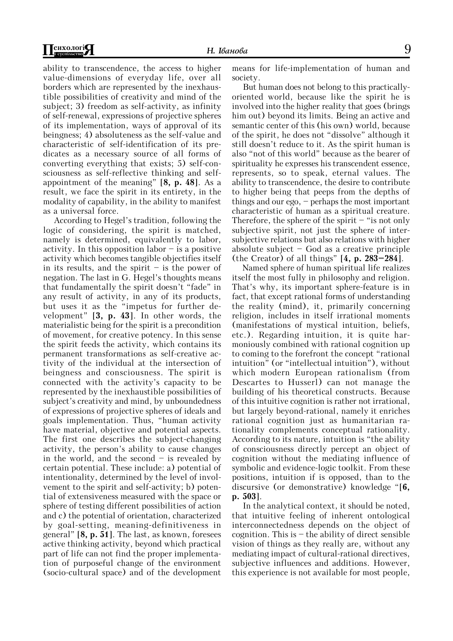ability to transcendence, the access to higher value-dimensions of everyday life, over all borders which are represented by the inexhaustible possibilities of creativity and mind of the subject; 3) freedom as self-activity, as infinity of self-renewal, expressions of projective spheres of its implementation, ways of approval of its beingness; 4) absoluteness as the self-value and characteristic of self-identification of its predicates as a necessary source of all forms of converting everything that exists; 5) self-consciousness as self-reflective thinking and selfappointment of the meaning" [**8, p. 48**]. As a result, we face the spirit in its entirety, in the modality of capability, in the ability to manifest as a universal force.

According to Hegel's tradition, following the logic of considering, the spirit is matched, namely is determined, equivalently to labor, activity. In this opposition labor  $-$  is a positive activity which becomes tangible objectifies itself in its results, and the spirit  $-$  is the power of negation. The last in G. Hegel's thoughts means that fundamentally the spirit doesn't "fade" in any result of activity, in any of its products, but uses it as the "impetus for further development" [**3, p. 43**]. In other words, the materialistic being for the spirit is a precondition of movement, for creative potency. In this sense the spirit feeds the activity, which contains its permanent transformations as self-creative activity of the individual at the intersection of beingness and consciousness. The spirit is connected with the activity's capacity to be represented by the inexhaustible possibilities of subject's creativity and mind, by unboundedness of expressions of projective spheres of ideals and goals implementation. Thus, "human activity have material, objective and potential aspects. The first one describes the subject-changing activity, the person's ability to cause changes in the world, and the second – is revealed by certain potential. These include: a) potential of intentionality, determined by the level of involvement to the spirit and self-activity; b) potential of extensiveness measured with the space or sphere of testing different possibilities of action and c) the potential of orientation, characterized by goal-setting, meaning-definitiveness in general" [**8, p. 51**]. The last, as known, foresees active thinking activity, beyond which practical part of life can not find the proper implementation of purposeful change of the environment (socio-cultural space) and of the development

means for life-implementation of human and society.

But human does not belong to this practicallyoriented world, because like the spirit he is involved into the higher reality that goes (brings him out) beyond its limits. Being an active and semantic center of this (his own) world, because of the spirit, he does not "dissolve" although it still doesn't reduce to it. As the spirit human is also "not of this world" because as the bearer of spirituality he expresses his transcendent essence, represents, so to speak, eternal values. The ability to transcendence, the desire to contribute to higher being that peeps from the depths of things and our ego, – perhaps the most important characteristic of human as a spiritual creature. Therefore, the sphere of the spirit  $-$  "is not only subjective spirit, not just the sphere of intersubjective relations but also relations with higher absolute subject  $-$  God as a creative principle (the Creator) of all things" [**4, p. 283–284**].

Named sphere of human spiritual life realizes itself the most fully in philosophy and religion. That's why, its important sphere-feature is in fact, that except rational forms of understanding the reality (mind), it, primarily concerning religion, includes in itself irrational moments (manifestations of mystical intuition, beliefs, etc.). Regarding intuition, it is quite harmoniously combined with rational cognition up to coming to the forefront the concept "rational intuition" (or "intellectual intuition"), without which modern European rationalism (from Descartes to Husserl) can not manage the building of his theoretical constructs. Because of this intuitive cognition is rather not irrational, but largely beyond-rational, namely it enriches rational cognition just as humanitarian rationality complements conceptual rationality. According to its nature, intuition is "the ability of consciousness directly percept an object of cognition without the mediating influence of symbolic and evidence-logic toolkit. From these positions, intuition if is opposed, than to the discursive (or demonstrative) knowledge "[**6, p. 503**].

In the analytical context, it should be noted, that intuitive feeling of inherent ontological interconnectedness depends on the object of cognition. This is  $-$  the ability of direct sensible vision of things as they really are, without any mediating impact of cultural-rational directives, subjective influences and additions. However, this experience is not available for most people,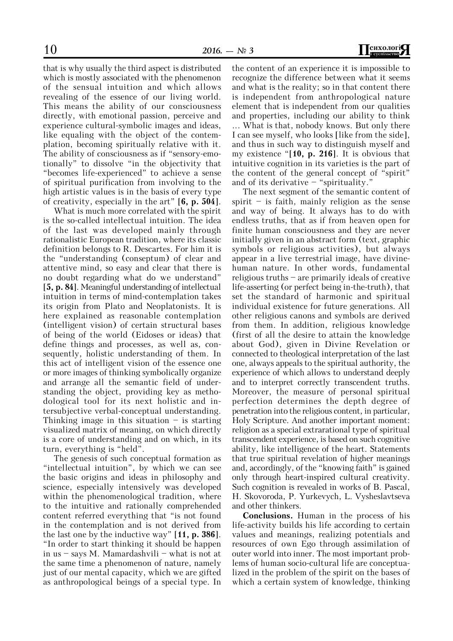that is why usually the third aspect is distributed which is mostly associated with the phenomenon of the sensual intuition and which allows revealing of the essence of our living world. This means the ability of our consciousness directly, with emotional passion, perceive and experience cultural-symbolic images and ideas, like equaling with the object of the contemplation, becoming spiritually relative with it. The ability of consciousness as if "sensory-emotionally" to dissolve "in the objectivity that "becomes life-experienced" to achieve a sense of spiritual purification from involving to the high artistic values is in the basis of every type of creativity, especially in the art" [**6, p. 504**].

What is much more correlated with the spirit is the so-called intellectual intuition. The idea of the last was developed mainly through rationalistic European tradition, where its classic definition belongs to R. Descartes. For him it is the "understanding (conseptum) of clear and attentive mind, so easy and clear that there is no doubt regarding what do we understand" [5, p. 84]. Meaningful understanding of intellectual intuition in terms of mind-contemplation takes its origin from Plato and Neoplatonists. It is here explained as reasonable contemplation (intelligent vision) of certain structural bases of being of the world (Eidoses or ideas) that define things and processes, as well as, consequently, holistic understanding of them. In this act of intelligent vision of the essence one or more images of thinking symbolically organize and arrange all the semantic field of understanding the object, providing key as methodological tool for its next holistic and intersubjective verbal-conceptual understanding. Thinking image in this situation  $-$  is starting visualized matrix of meaning, on which directly is a core of understanding and on which, in its turn, everything is "held".

The genesis of such conceptual formation as "intellectual intuition", by which we can see the basic origins and ideas in philosophy and science, especially intensively was developed within the phenomenological tradition, where to the intuitive and rationally comprehended content referred everything that "is not found in the contemplation and is not derived from the last one by the inductive way" [**11, p. 386**]. "In order to start thinking it should be happen in us – says M. Mamardashvili – what is not at the same time a phenomenon of nature, namely just of our mental capacity, which we are gifted as anthropological beings of a special type. In

the content of an experience it is impossible to recognize the difference between what it seems and what is the reality; so in that content there is independent from anthropological nature element that is independent from our qualities and properties, including our ability to think ... What is that, nobody knows. But only there I can see myself, who looks [like from the side], and thus in such way to distinguish myself and my existence "[**10, p. 216**]. It is obvious that intuitive cognition in its varieties is the part of the content of the general concept of "spirit"

and of its derivative – "spirituality." The next segment of the semantic content of spirit – is faith, mainly religion as the sense and way of being. It always has to do with endless truths, that as if from heaven open for finite human consciousness and they are never initially given in an abstract form (text, graphic symbols or religious activities), but always appear in a live terrestrial image, have divinehuman nature. In other words, fundamental religious truths – are primarily ideals of creative life-asserting (or perfect being in-the-truth), that set the standard of harmonic and spiritual individual existence for future generations. All other religious canons and symbols are derived from them. In addition, religious knowledge (first of all the desire to attain the knowledge about God), given in Divine Revelation or connected to theological interpretation of the last one, always appeals to the spiritual authority, the experience of which allows to understand deeply and to interpret correctly transcendent truths. Moreover, the measure of personal spiritual perfection determines the depth degree of penetration into the religious content, in particular, Holy Scripture. And another important moment: religion as a special extrarational type of spiritual transcendent experience, is based on such cognitive ability, like intelligence of the heart. Statements that true spiritual revelation of higher meanings and, accordingly, of the "knowing faith" is gained only through heart-inspired cultural creativity. Such cognition is revealed in works of B. Pascal, H. Skovoroda, P. Yurkevych, L. Vysheslavtseva and other thinkers.

**Conclusions.** Human in the process of his life-activity builds his life according to certain values and meanings, realizing potentials and resources of own Ego through assimilation of outer world into inner. The most important problems of human socio-cultural life are conceptualized in the problem of the spirit on the bases of which a certain system of knowledge, thinking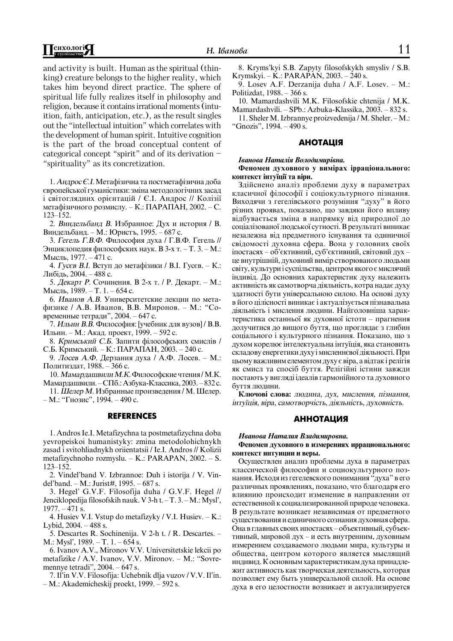and activity is built. Human asthe spiritual (thinking) creature belongs to the higher reality, which takes him beyond direct practice. The sphere of spiritual life fully realizes itself in philosophy and religion, because it contains irrational moments (intuition, faith, anticipation,  $etc.$ ), as the result singles out the "intellectual intuition" which correlates with the development of human spirit. Intuitive cognition is the part of the broad conceptual content of categorical concept "spirit" and of its derivation – "spirituality" as its concretization.

1. *Андрос Є.І*. Метафізична та постметафізична доба європейської гуманістики: зміна методологічних засад  $i$  світоглядних орієнтацій / Є.І. Андрос // Колізії метафізичного розмислу. – К.: ПАРАПАН, 2002. – С. 123–152.

2. Виндельбанд В. Избранное: Дух и история / В. Виндельбанд. – М.: Юристъ, 1995. – 687 с.

3. *Гегель Г.В.Ф.* Философия духа / Г.В.Ф. Гегель // Энциклопедия философских наук. В 3-х т. – Т. 3. – М.: Мысль, 1977. – 471 с.

4. *Гусев В.І.* Вступ до метафізики / В.І. Гусев. – К.: Либідь, 2004. – 488 с.

5. Декарт Р. Сочинения. В 2-х т. / Р. Декарт. – М.: Мысль, 1989. – Т. 1. – 654 с.

6. Иванов А.В. Университетские лекции по метафизике / A.B. Иванов, В.В. Миронов. – М.: "Современные тетради", 2004. – 647 с.

7. Ильин В.В. Философия: [учебник для вузов] / В.В. Ильин. – М.: Акад. проект, 1999. – 592 с.

8. *Кримський С.Б.* Запити філософських смислів / С.Б. Кримський. – К.: ПАРАПАН, 2003. – 240 с.

9. Лосев А.Ф. Дерзания духа / А.Ф. Лосев. – М.: Политиздат, 1988. – 366 с.

10. *Мамардашвили М.К.* Философские чтения / М.К. Мамардашвили. – СПб.: Азбука-Классика, 2003. – 832 с.

11. Шелер М. Избранные произведения / М. Шелер. – М.: "Гнозис", 1994. – 490 с.

#### **REFERENCES**

1. Andros Ie.I. Metafizychna ta postmetafizychna doba yevropeiskoi humanistyky: zmina metodolohichnykh zasad i svitohliadnykh oriientatsii / Ie.I. Andros // Kolizii metafizychnoho rozmyslu. – K.: PARAPAN, 2002. – S. 123–152.

2. Vindel'band V. Izbrannoe: Duh i istorija / V. Vindel'band. – M.: Jurist#, 1995. – 687 s.

3. Hegel' G.V.F. Filosofija duha / G.V.F. Hegel // Jenciklopedija filosofskih nauk. V 3-h t. - T. 3. - M.: Mysl',  $1977. - 471$  s.

4. Husiev V.I. Vstup do metafizyky / V.I. Husiev. – K.: Lybid, 2004. – 488 s.

5. Descartes R. Sochinenija. V 2-h t. / R. Descartes. – M.: Mysl', 1989. – T. 1. – 654 s.

6. Ivanov A.V., Mironov V.V. Universitetskie lekcii po metafizike / A.V. Ivanov, V.V. Mironov. – M.: "Sovremennye tetradi", 2004. – 647 s.

7.Il'in V.V. Filosofija: Uchebnik dlja vuzov / V.V.Il'in. – M.: Akademicheskij proekt, 1999. – 592 s.

8. Kryms'kyi S.B. Zapyty filosofskykh smysliv / S.B. Krymskyi. – K.: PARAPAN, 2003. – 240 s.

9. Losev A.F. Derzanija duha / A.F. Losev. – M.: Politizdat, 1988. – 366 s.

10. Mamardashvili M.K. Filosofskie chtenija / M.K. Mamardashvili. – SPb.: Azbuka-Klassika, 2003. – 832 s.

11. Sheler M. Izbrannye proizvedenija / M. Sheler. – M.: "Gnozis", 1994. – 490 s.

#### **АНОТАЦІЯ**

#### *Иванова Наталія Володимирівна.*

#### **Ôåíîìåí äóõîâíîãî ó âèì³ðàõ ³ððàö³îíàëüíîãî: контекст** інтуїції та віри.

Здійснено аналіз проблеми духу в параметрах класичної філософії і соціокультурного пізнання. Виходячи з гегелівського розуміння "духу" в його різних проявах, показано, що завдяки його впливу відбувається зміна в напрямку від природної до соціалізованої людської сутності. В результаті виникає незалежна від предметного існування та одиничної свідомості духовна сфера. Вона у головних своїх  $i$ постасях – об'єктивний, суб'єктивний, світовий дух – це внутрішній, духовний вимір створюваного людьми світу, культури і суспільства, центром якого є мислячий індивід. До основних характеристик духу належить активність як самотворча діяльність, котра надає духу здатності бути універсальною силою. На основі духу в його цілісності виникає і актуалізується пізнавальна діяльність і мислення людини. Найголовніша характеристика останньої як духовної істоти – прагнення долучитися до вищого буття, що проглядає з глибин соціального і культурного пізнання. Показано, що з духом корелює інтелектуальна інтуїція, яка становить складову енергетики духу і мисленнєвої діяльності. При цьому важливим елементом духу є віра, а відтак і релігія як смисл та спосіб буття. Релігійні істини завжди постають у вигляді ідеалів гармонійного та духовного буття люлини.

Ключові слова: людина, дух, мислення, пізнання, *³íòó¿ö³ÿ, â³ðà, ñàìîòâîð÷³ñòü, ä³ÿëüí³ñòü, äóõîâí³ñòü.*

#### **AHHOTALIMS**

#### *Èâàíîâà Íàòàëèÿ Âëàäèìèðîâíà.*

**Ôåíîìåí äóõîâíîãî â èçìåðåíèÿõ èððàöèîíàëüíîãî: контекст интуиции и веры.** 

Осуществлен анализ проблемы духа в параметрах классической философии и социокультурного познания. Исходя из гегелевского понимания "духа" в его различных проявлениях, показано, что благодаря его влиянию происходит изменение в направлении от естественной к социализированной природе человека. В результате возникает независимая от предметного существования и единичного сознания духовная сфера. Она в главных своих ипостасях – объективный, субъективный, мировой дух – и есть внутренним, духовным измерением создаваемого людьми мира, культуры и общества, центром которого является мыслящий индивид. К основным характеристикам духа принадлежит активность как творческая деятельность, которая позволяет ему быть универсальной силой. На основе духа в его целостности возникает и актуализируется